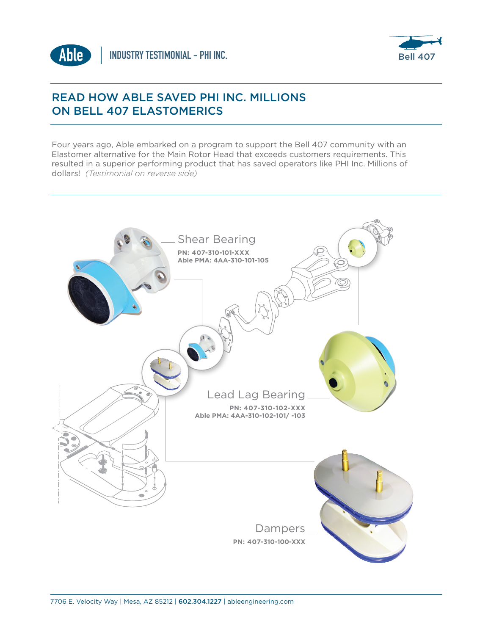



## READ HOW ABLE SAVED PHI INC. MILLIONS ON BELL 407 ELASTOMERICS

Four years ago, Able embarked on a program to support the Bell 407 community with an Elastomer alternative for the Main Rotor Head that exceeds customers requirements. This resulted in a superior performing product that has saved operators like PHI Inc. Millions of dollars! *(Testimonial on reverse side)*